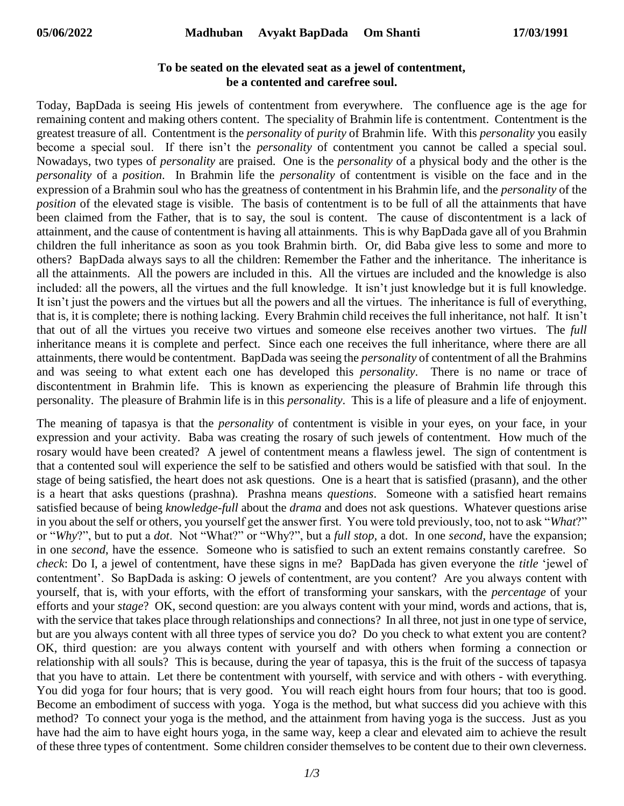## **To be seated on the elevated seat as a jewel of contentment, be a contented and carefree soul.**

Today, BapDada is seeing His jewels of contentment from everywhere. The confluence age is the age for remaining content and making others content. The speciality of Brahmin life is contentment. Contentment is the greatest treasure of all. Contentment is the *personality* of *purity* of Brahmin life. With this *personality* you easily become a special soul. If there isn't the *personality* of contentment you cannot be called a special soul. Nowadays, two types of *personality* are praised. One is the *personality* of a physical body and the other is the *personality* of a *position*. In Brahmin life the *personality* of contentment is visible on the face and in the expression of a Brahmin soul who has the greatness of contentment in his Brahmin life, and the *personality* of the *position* of the elevated stage is visible. The basis of contentment is to be full of all the attainments that have been claimed from the Father, that is to say, the soul is content. The cause of discontentment is a lack of attainment, and the cause of contentment is having all attainments. This is why BapDada gave all of you Brahmin children the full inheritance as soon as you took Brahmin birth. Or, did Baba give less to some and more to others? BapDada always says to all the children: Remember the Father and the inheritance. The inheritance is all the attainments. All the powers are included in this. All the virtues are included and the knowledge is also included: all the powers, all the virtues and the full knowledge. It isn't just knowledge but it is full knowledge. It isn't just the powers and the virtues but all the powers and all the virtues. The inheritance is full of everything, that is, it is complete; there is nothing lacking. Every Brahmin child receives the full inheritance, not half. It isn't that out of all the virtues you receive two virtues and someone else receives another two virtues. The *full* inheritance means it is complete and perfect. Since each one receives the full inheritance, where there are all attainments, there would be contentment. BapDada was seeing the *personality* of contentment of all the Brahmins and was seeing to what extent each one has developed this *personality*. There is no name or trace of discontentment in Brahmin life. This is known as experiencing the pleasure of Brahmin life through this personality. The pleasure of Brahmin life is in this *personality*. This is a life of pleasure and a life of enjoyment.

The meaning of tapasya is that the *personality* of contentment is visible in your eyes, on your face, in your expression and your activity. Baba was creating the rosary of such jewels of contentment. How much of the rosary would have been created? A jewel of contentment means a flawless jewel. The sign of contentment is that a contented soul will experience the self to be satisfied and others would be satisfied with that soul. In the stage of being satisfied, the heart does not ask questions. One is a heart that is satisfied (prasann), and the other is a heart that asks questions (prashna). Prashna means *questions*. Someone with a satisfied heart remains satisfied because of being *knowledge-full* about the *drama* and does not ask questions. Whatever questions arise in you about the self or others, you yourself get the answer first. You were told previously, too, not to ask "*What*?" or "*Why*?", but to put a *dot*. Not "What?" or "Why?", but a *full stop,* a dot. In one *second*, have the expansion; in one *second*, have the essence. Someone who is satisfied to such an extent remains constantly carefree. So *check*: Do I, a jewel of contentment, have these signs in me? BapDada has given everyone the *title* 'jewel of contentment'. So BapDada is asking: O jewels of contentment, are you content? Are you always content with yourself, that is, with your efforts, with the effort of transforming your sanskars, with the *percentage* of your efforts and your *stage*? OK, second question: are you always content with your mind, words and actions, that is, with the service that takes place through relationships and connections? In all three, not just in one type of service, but are you always content with all three types of service you do? Do you check to what extent you are content? OK, third question: are you always content with yourself and with others when forming a connection or relationship with all souls? This is because, during the year of tapasya, this is the fruit of the success of tapasya that you have to attain. Let there be contentment with yourself, with service and with others - with everything. You did yoga for four hours; that is very good. You will reach eight hours from four hours; that too is good. Become an embodiment of success with yoga. Yoga is the method, but what success did you achieve with this method? To connect your yoga is the method, and the attainment from having yoga is the success. Just as you have had the aim to have eight hours yoga, in the same way, keep a clear and elevated aim to achieve the result of these three types of contentment. Some children consider themselves to be content due to their own cleverness.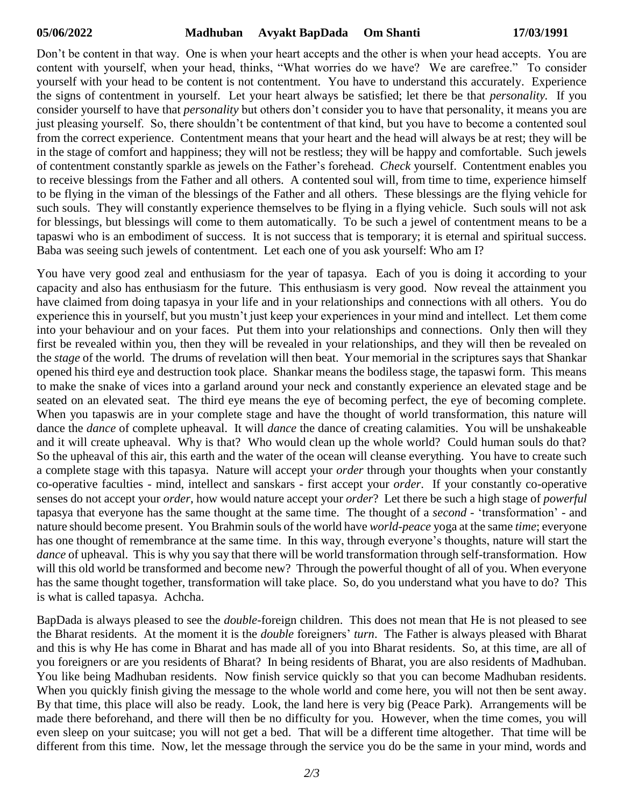Don't be content in that way. One is when your heart accepts and the other is when your head accepts. You are content with yourself, when your head, thinks, "What worries do we have? We are carefree." To consider yourself with your head to be content is not contentment. You have to understand this accurately. Experience the signs of contentment in yourself. Let your heart always be satisfied; let there be that *personality.* If you consider yourself to have that *personality* but others don't consider you to have that personality, it means you are just pleasing yourself. So, there shouldn't be contentment of that kind, but you have to become a contented soul from the correct experience. Contentment means that your heart and the head will always be at rest; they will be in the stage of comfort and happiness; they will not be restless; they will be happy and comfortable. Such jewels of contentment constantly sparkle as jewels on the Father's forehead. *Check* yourself. Contentment enables you to receive blessings from the Father and all others. A contented soul will, from time to time, experience himself to be flying in the viman of the blessings of the Father and all others. These blessings are the flying vehicle for such souls. They will constantly experience themselves to be flying in a flying vehicle. Such souls will not ask for blessings, but blessings will come to them automatically. To be such a jewel of contentment means to be a tapaswi who is an embodiment of success. It is not success that is temporary; it is eternal and spiritual success. Baba was seeing such jewels of contentment. Let each one of you ask yourself: Who am I?

You have very good zeal and enthusiasm for the year of tapasya. Each of you is doing it according to your capacity and also has enthusiasm for the future. This enthusiasm is very good. Now reveal the attainment you have claimed from doing tapasya in your life and in your relationships and connections with all others. You do experience this in yourself, but you mustn't just keep your experiences in your mind and intellect. Let them come into your behaviour and on your faces. Put them into your relationships and connections. Only then will they first be revealed within you, then they will be revealed in your relationships, and they will then be revealed on the *stage* of the world. The drums of revelation will then beat. Your memorial in the scriptures says that Shankar opened his third eye and destruction took place. Shankar means the bodiless stage, the tapaswi form. This means to make the snake of vices into a garland around your neck and constantly experience an elevated stage and be seated on an elevated seat. The third eye means the eye of becoming perfect, the eye of becoming complete. When you tapaswis are in your complete stage and have the thought of world transformation, this nature will dance the *dance* of complete upheaval. It will *dance* the dance of creating calamities. You will be unshakeable and it will create upheaval. Why is that? Who would clean up the whole world? Could human souls do that? So the upheaval of this air, this earth and the water of the ocean will cleanse everything. You have to create such a complete stage with this tapasya. Nature will accept your *order* through your thoughts when your constantly co-operative faculties - mind, intellect and sanskars - first accept your *order*. If your constantly co-operative senses do not accept your *order*, how would nature accept your *order*? Let there be such a high stage of *powerful* tapasya that everyone has the same thought at the same time. The thought of a *second* - 'transformation' - and nature should become present. You Brahmin souls of the world have *world-peace* yoga at the same *time*; everyone has one thought of remembrance at the same time. In this way, through everyone's thoughts, nature will start the *dance* of upheaval. This is why you say that there will be world transformation through self-transformation. How will this old world be transformed and become new? Through the powerful thought of all of you. When everyone has the same thought together, transformation will take place. So, do you understand what you have to do? This is what is called tapasya. Achcha.

BapDada is always pleased to see the *double-*foreign children. This does not mean that He is not pleased to see the Bharat residents. At the moment it is the *double* foreigners' *turn*. The Father is always pleased with Bharat and this is why He has come in Bharat and has made all of you into Bharat residents. So, at this time, are all of you foreigners or are you residents of Bharat? In being residents of Bharat, you are also residents of Madhuban. You like being Madhuban residents. Now finish service quickly so that you can become Madhuban residents. When you quickly finish giving the message to the whole world and come here, you will not then be sent away. By that time, this place will also be ready. Look, the land here is very big (Peace Park). Arrangements will be made there beforehand, and there will then be no difficulty for you. However, when the time comes, you will even sleep on your suitcase; you will not get a bed. That will be a different time altogether. That time will be different from this time. Now, let the message through the service you do be the same in your mind, words and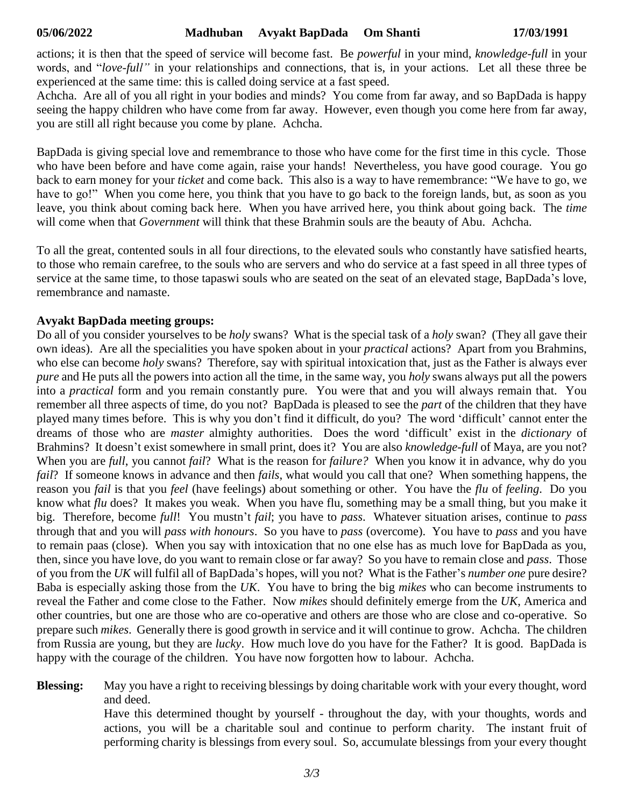actions; it is then that the speed of service will become fast. Be *powerful* in your mind, *knowledge-full* in your words, and "*love-full"* in your relationships and connections, that is, in your actions. Let all these three be experienced at the same time: this is called doing service at a fast speed.

Achcha. Are all of you all right in your bodies and minds? You come from far away, and so BapDada is happy seeing the happy children who have come from far away. However, even though you come here from far away, you are still all right because you come by plane. Achcha.

BapDada is giving special love and remembrance to those who have come for the first time in this cycle. Those who have been before and have come again, raise your hands! Nevertheless, you have good courage. You go back to earn money for your *ticket* and come back. This also is a way to have remembrance: "We have to go, we have to go!" When you come here, you think that you have to go back to the foreign lands, but, as soon as you leave, you think about coming back here. When you have arrived here, you think about going back. The *time* will come when that *Government* will think that these Brahmin souls are the beauty of Abu. Achcha.

To all the great, contented souls in all four directions, to the elevated souls who constantly have satisfied hearts, to those who remain carefree, to the souls who are servers and who do service at a fast speed in all three types of service at the same time, to those tapaswi souls who are seated on the seat of an elevated stage, BapDada's love, remembrance and namaste.

## **Avyakt BapDada meeting groups:**

Do all of you consider yourselves to be *holy* swans? What is the special task of a *holy* swan? (They all gave their own ideas). Are all the specialities you have spoken about in your *practical* actions? Apart from you Brahmins, who else can become *holy* swans? Therefore, say with spiritual intoxication that, just as the Father is always ever *pure* and He puts all the powers into action all the time, in the same way, you *holy* swans always put all the powers into a *practical* form and you remain constantly pure. You were that and you will always remain that. You remember all three aspects of time, do you not? BapDada is pleased to see the *part* of the children that they have played many times before. This is why you don't find it difficult, do you? The word 'difficult' cannot enter the dreams of those who are *master* almighty authorities. Does the word 'difficult' exist in the *dictionary* of Brahmins? It doesn't exist somewhere in small print, does it? You are also *knowledge-full* of Maya, are you not? When you are *full*, you cannot *fail*? What is the reason for *failure?* When you know it in advance, why do you *fail*? If someone knows in advance and then *fails*, what would you call that one? When something happens, the reason you *fail* is that you *feel* (have feelings) about something or other. You have the *flu* of *feeling*. Do you know what *flu* does? It makes you weak. When you have flu, something may be a small thing, but you make it big. Therefore, become *full*! You mustn't *fail*; you have to *pass*. Whatever situation arises, continue to *pass* through that and you will *pass with honours*. So you have to *pass* (overcome). You have to *pass* and you have to remain paas (close). When you say with intoxication that no one else has as much love for BapDada as you, then, since you have love, do you want to remain close or far away? So you have to remain close and *pass*. Those of you from the *UK* will fulfil all of BapDada's hopes, will you not? What is the Father's *number one* pure desire? Baba is especially asking those from the *UK*. You have to bring the big *mikes* who can become instruments to reveal the Father and come close to the Father. Now *mikes* should definitely emerge from the *UK*, America and other countries, but one are those who are co-operative and others are those who are close and co-operative. So prepare such *mikes*. Generally there is good growth in service and it will continue to grow. Achcha. The children from Russia are young, but they are *lucky*. How much love do you have for the Father? It is good. BapDada is happy with the courage of the children. You have now forgotten how to labour. Achcha.

**Blessing:** May you have a right to receiving blessings by doing charitable work with your every thought, word and deed.

> Have this determined thought by yourself - throughout the day, with your thoughts, words and actions, you will be a charitable soul and continue to perform charity. The instant fruit of performing charity is blessings from every soul. So, accumulate blessings from your every thought